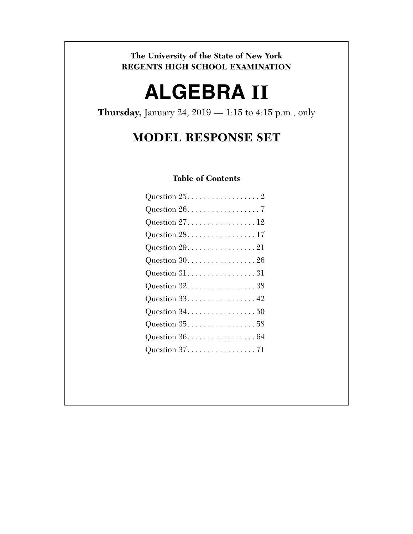**The University of the State of New York REGENTS HIGH SCHOOL EXAMINATION** 

# **ALGEBRA II**

**Thursday,** January 24, 2019 — 1:15 to 4:15 p.m., only

# **MODEL RESPONSE SET**

# **Table of Contents**

| Question $25.$ 2                                            |
|-------------------------------------------------------------|
| Question $26. \ldots \ldots \ldots \ldots \ldots 7$         |
|                                                             |
| Question $28.$ 17                                           |
| Question $29. \ldots \ldots \ldots \ldots 21$               |
| Question $30. \ldots. \ldots. \ldots. \ldots. 26$           |
|                                                             |
| Question $32.000000000000000000000000$                      |
| Question $33. 42$                                           |
| Question $34. \ldots \ldots \ldots \ldots \ldots 50$        |
| Question $35.000000000000000000000000$                      |
| Question $36. \ldots \ldots \ldots \ldots \ldots \ldots 64$ |
| Question $37.$ 71                                           |
|                                                             |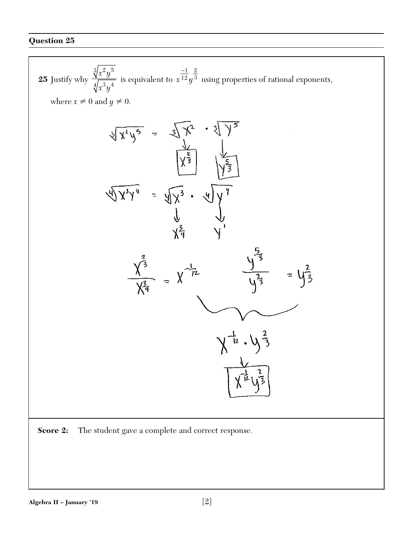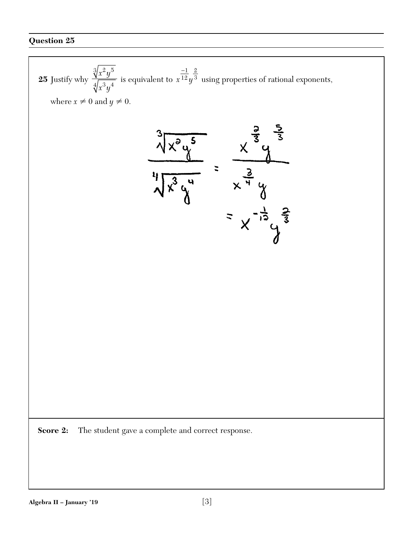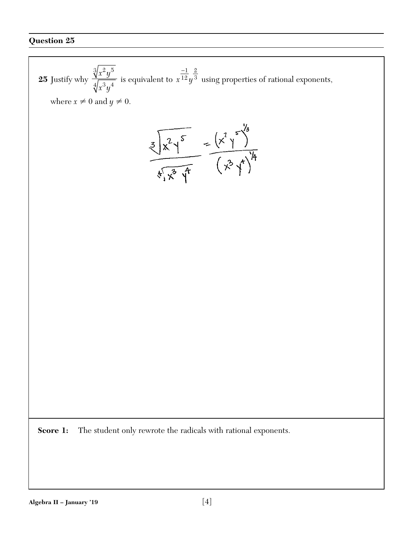25 Justify why 
$$
\frac{\sqrt[3]{x^2y^5}}{\sqrt[4]{x^3y^4}}
$$
 is equivalent to  $x^{\frac{-1}{2}}y^{\frac{2}{3}}$  using properties of rational exponents,  
\nwhere  $x \neq 0$  and  $y \neq 0$ .  
\n
$$
\frac{\sqrt[3]{x^2y^5}}{\sqrt[4]{x^3y^5}} = \frac{(x^2y^5)^{\frac{1}{2}}}{(x^3y^4)^{\frac{1}{4}}}
$$
\n
$$
\frac{\sqrt[3]{x^2y^5}}{\sqrt[4]{x^3y^4}}
$$
\n
$$
\frac{\sqrt[3]{x^2y^5}}{\sqrt[3]{x^2y^5}}
$$
\n
$$
\frac{\sqrt[3]{x^2y^5}}{\sqrt[3]{x^2y^5}}
$$
\n
$$
\frac{\sqrt[3]{x^2y^5}}{\sqrt[3]{x^2y^5}}
$$
\n
$$
\frac{\sqrt[3]{x^2y^5}}{\sqrt[3]{x^2y^5}}
$$
\n
$$
\frac{\sqrt[3]{x^2y^5}}{\sqrt[3]{x^2y^5}}
$$
\n
$$
\frac{\sqrt[3]{x^2y^5}}{\sqrt[3]{x^2y^5}}
$$
\n
$$
\frac{\sqrt[3]{x^2y^5}}{\sqrt[3]{x^2y^5}}
$$
\n
$$
\frac{\sqrt[3]{x^2y^5}}{\sqrt[3]{x^2y^5}}
$$
\n
$$
\frac{\sqrt[3]{x^2y^5}}{\sqrt[3]{x^2y^5}}
$$
\n
$$
\frac{\sqrt[3]{x^2y^5}}{\sqrt[3]{x^2y^5}}
$$
\n
$$
\frac{\sqrt[3]{x^2y^5}}{\sqrt[3]{x^2y^5}}
$$
\n
$$
\frac{\sqrt[3]{x^2y^5}}{\sqrt[3]{x^2y^5}}
$$
\n
$$
\frac{\sqrt[3]{x^2y^5}}{\sqrt[3]{x^2y^5}}
$$
\n
$$
\frac{\sqrt[3]{x^2y^5}}{\sqrt[3]{x^2y^5}}
$$
\n
$$
\frac{\sqrt[3]{x^2y^5}}{\sqrt[3]{x^2y^5}}
$$
\n
$$
\frac{\sqrt[3]{x^2y^5}}{\sqrt[3]{x^2y^5}}
$$
\n
$$
\frac{\sqrt[3]{x^2y^5}}{\
$$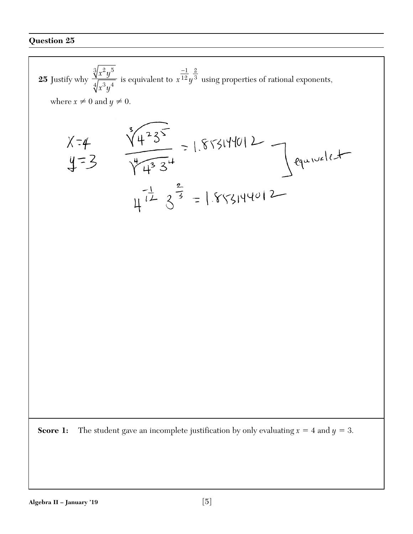25 Justify why 
$$
\frac{\sqrt[3]{x^2y^5}}{\sqrt[4]{x^3y^4}}
$$
 is equivalent to  $x^{\frac{-1}{2}}y^{\frac{2}{3}}$  using properties of rational exponents,  
\nwhere  $x \neq 0$  and  $y \neq 0$ .  
\n $\chi = 4$   
\n $\sqrt[3]{\frac{4}{3}y^3} = 1.855140012$   
\n $\sqrt[3]{\frac{4}{3}y^3} = 1.855140012$   
\n $\sqrt[3]{\frac{4}{3}y^3} = 1.855140012$   
\n $\sqrt[3]{\frac{4}{3}y^3} = 1.855140012$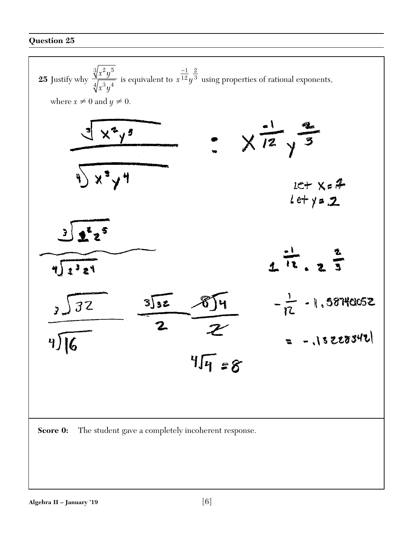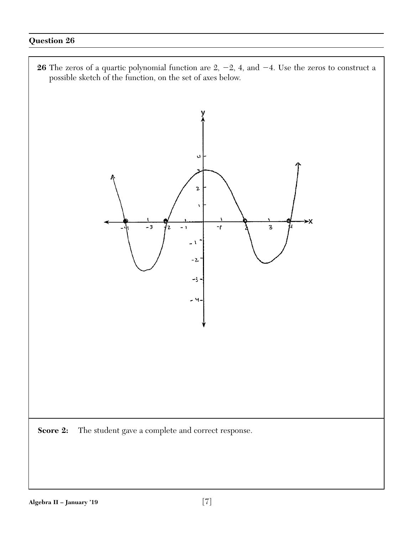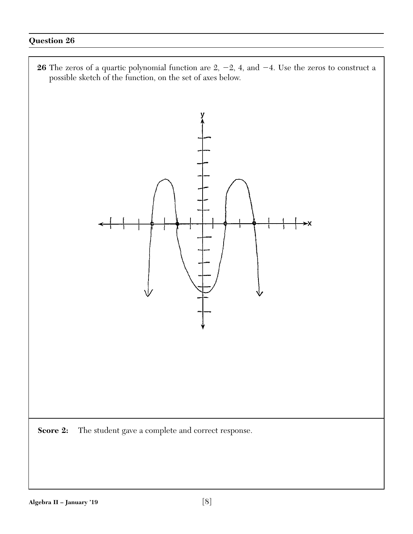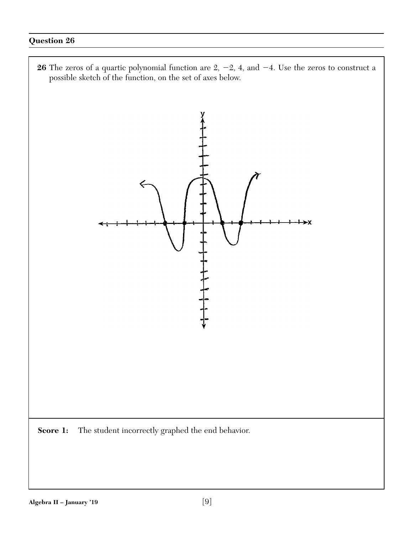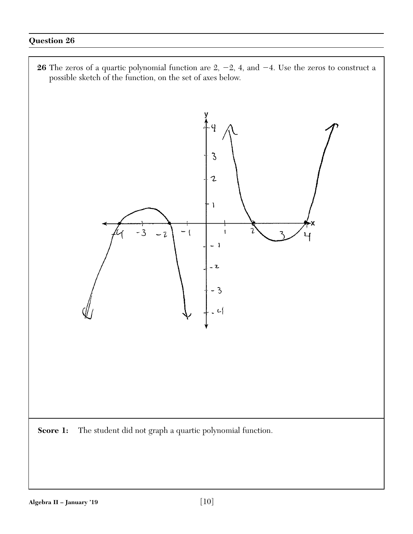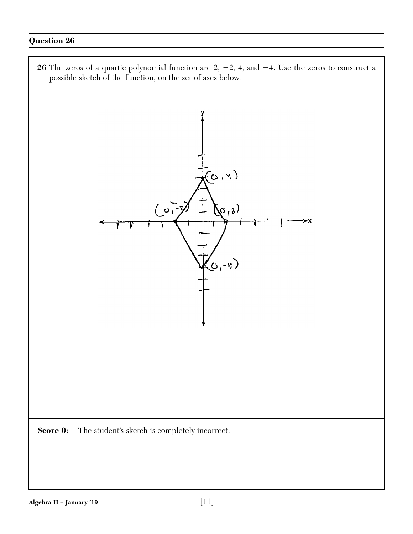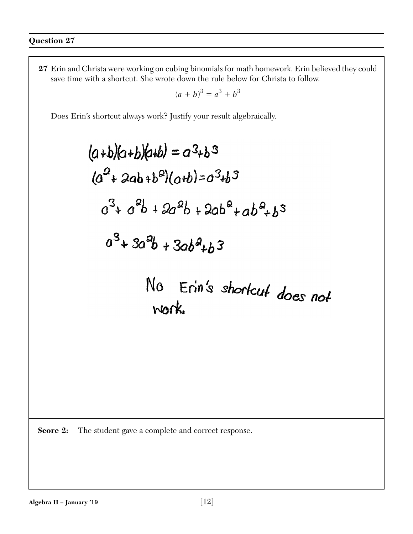$$
(a+b)^3 = a^3 + b^3
$$

Does Erin's shortcut always work? Justify your result algebraically.

$$
(a+b)(a+b)(a+b) = a^{3}+b^{3}
$$
  
\n
$$
(a^{2}+2ab+b^{2})(a+b)=a^{3}+b^{3}
$$
  
\n
$$
a^{3}+a^{2}b+2a^{2}b+2ab^{2}+ab^{2}+b^{3}
$$
  
\n
$$
a^{3}+3a^{2}b+3ab^{2}+b^{3}
$$
  
\n
$$
N0 \t\text{Erin's shortcut does not work.}
$$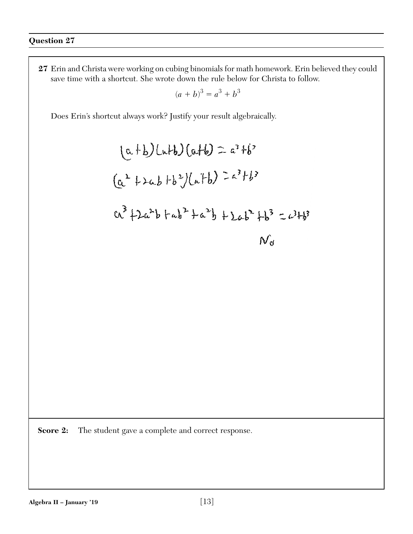$$
(a+b)^3 = a^3 + b^3
$$

Does Erin's shortcut always work? Justify your result algebraically.

$$
(a+b)(a+b)(a+b) = a^{3}+b^{3}
$$
  
\n
$$
(a^{2}+2ab+b^{2})(a+b) = a^{3}+b^{3}
$$
  
\n
$$
a^{3}+2a^{2}b+a^{2}+a^{2}b+2ab^{2}+b^{3}=a^{2}+b^{3}
$$
  
\n
$$
N_{d}
$$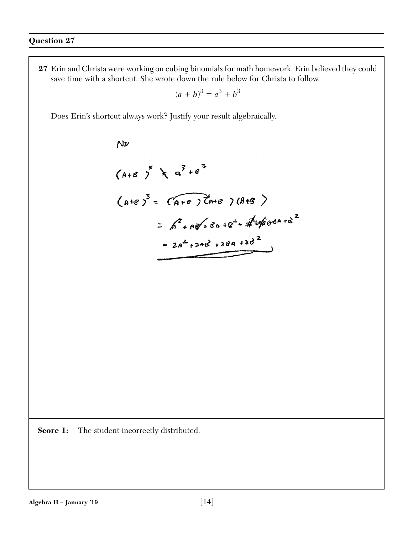$$
(a+b)^3 = a^3 + b^3
$$

Does Erin's shortcut always work? Justify your result algebraically.

 $N\nu$ 

$$
(A+B)^{3} \times a^{3}+e^{3}
$$
  
\n
$$
(A+B)^{3} = (A+B)^{2}+e^{3}
$$
  
\n
$$
= A^{2}+e^{3}+8a+e^{2}+4e^{2}+e^{2}+e^{2}
$$
  
\n
$$
= 2a^{2}+24e^{2}+28a+28^{2}
$$

Score 1: The student incorrectly distributed.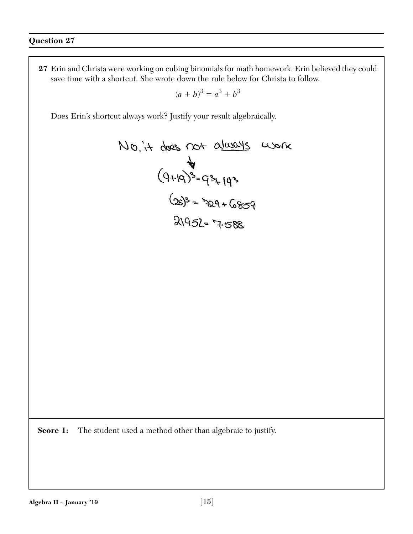$$
(a+b)^3 = a^3 + b^3
$$

Does Erin's shortcut always work? Justify your result algebraically.

$$
100, i+dees not always work\n $(9+19)^3=9^3+(19^3)$   
\n $(28)^3=729+6859$   
\n $(28)^3=729+6859$
$$

**Score 1:** The student used a method other than algebraic to justify.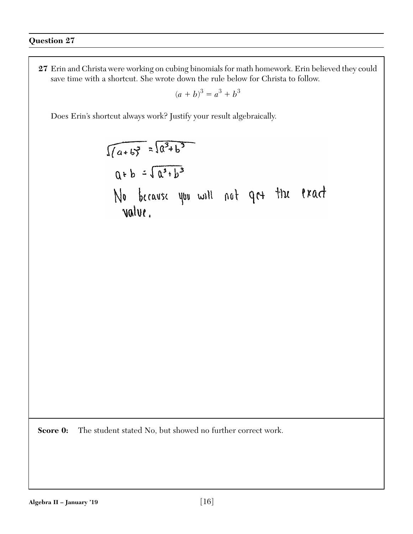$$
(a+b)^3 = a^3 + b^3
$$

Does Erin's shortcut always work? Justify your result algebraically.

$$
\sqrt{(a+b)^2} = \sqrt{a^3+b^3}
$$
  
Q+b =  $\sqrt{a^3+b^3}$   
No because you will not qc+ thx fixed  
value.

**Score 0:** The student stated No, but showed no further correct work.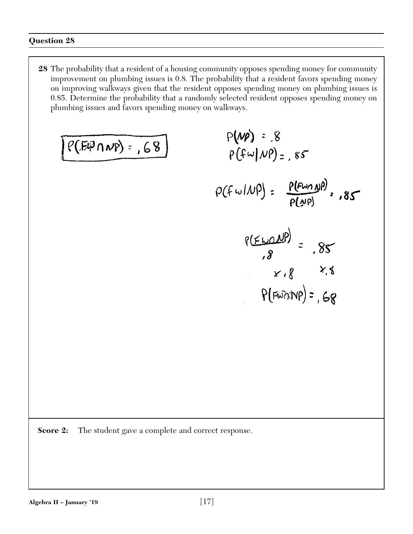**28** The probability that a resident of a housing community opposes spending money for community improvement on plumbing issues is 0.8. The probability that a resident favors spending money on improving walkways given that the resident opposes spending money on plumbing issues is 0.85. Determine the probability that a randomly selected resident opposes spending money on plumbing issues and favors spending money on walkways.

$$
\frac{P(HP \cap NP) = .68}{P(H \cup NP) = .85}
$$
\n
$$
\frac{P(HP) = .85}{P(H \cup NP) = .85}
$$
\n
$$
\frac{P(HP \cap NP)}{P(HP)} = .85
$$
\n
$$
\frac{P(HP \cap NP)}{P(HP)} = .85
$$
\n
$$
\frac{P(HP \cap NP)}{P(HP) = .68}
$$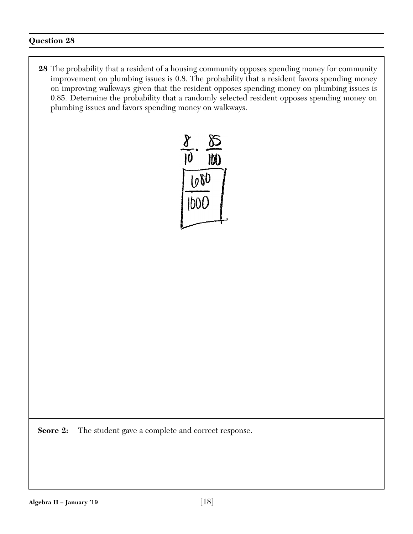**28** The probability that a resident of a housing community opposes spending money for community improvement on plumbing issues is 0.8. The probability that a resident favors spending money on improving walkways given that the resident opposes spending money on plumbing issues is 0.85. Determine the probability that a randomly selected resident opposes spending money on plumbing issues and favors spending money on walkways.

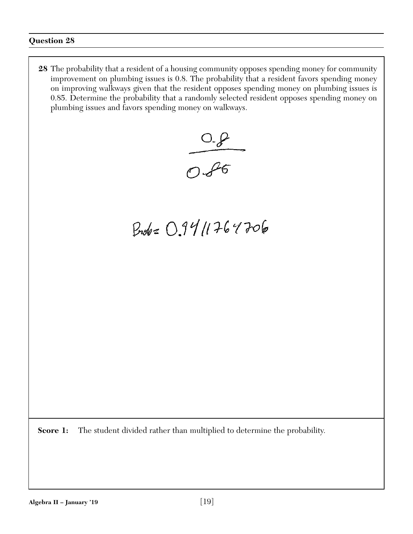**28** The probability that a resident of a housing community opposes spending money for community improvement on plumbing issues is 0.8. The probability that a resident favors spending money on improving walkways given that the resident opposes spending money on plumbing issues is 0.85. Determine the probability that a randomly selected resident opposes spending money on plumbing issues and favors spending money on walkways.



# Broke 09411764706

**Score 1:** The student divided rather than multiplied to determine the probability.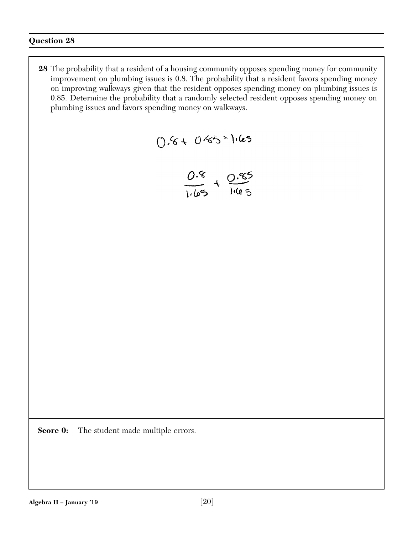**28** The probability that a resident of a housing community opposes spending money for community improvement on plumbing issues is 0.8. The probability that a resident favors spending money on improving walkways given that the resident opposes spending money on plumbing issues is 0.85. Determine the probability that a randomly selected resident opposes spending money on plumbing issues and favors spending money on walkways.

$$
() . 6 + 0 . 65 = 1.65
$$

$$
\frac{0.8}{1165} + \frac{0.85}{1165}
$$

**Score 0:** The student made multiple errors.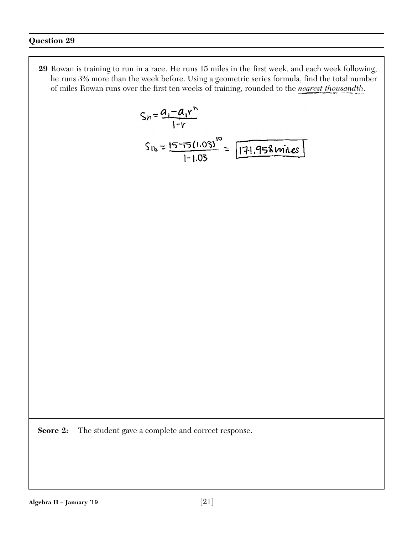**29** Rowan is training to run in a race. He runs 15 miles in the first week, and each week following, he runs 3% more than the week before. Using a geometric series formula, find the total number of miles Rowan runs over the first ten weeks of training, rounded to the *nearest thousandth*.

$$
S_{10} = \frac{a_1 - a_1 r^6}{1 - r}
$$
  

$$
S_{10} = \frac{15 - 15(1.03)^{10}}{1 - 1.03} = \boxed{171.958 \text{ miles}}
$$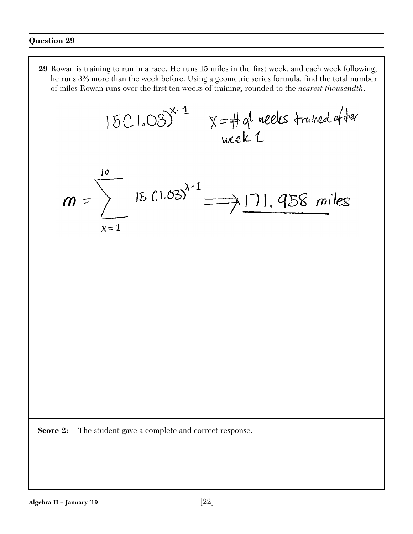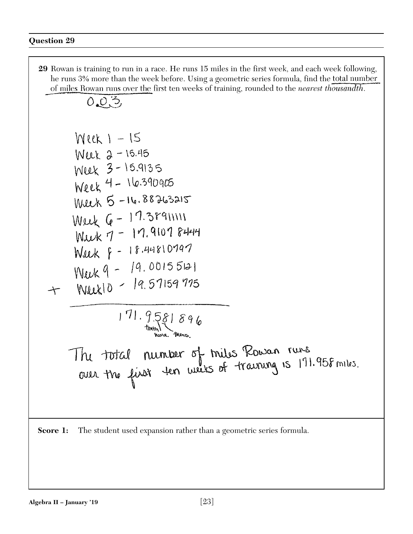**29** Rowan is training to run in a race. He runs 15 miles in the first week, and each week following, he runs 3% more than the week before. Using a geometric series formula, find the total number of miles Rowan runs over the first ten weeks of training, rounded to the *nearest thousandth*.  $0.03$  $Wlek$   $-15$ Week 2 - 15.45 Week 3 - 15.9135  $Wek - 16.390905$ Week 5 - 16.88263215 Week  $6 - 17.38911111$  $WuxX - 17.91078444$ Week  $\frac{1}{2}$  - 18.44810797  $Nuk9 - 19.00155121$  $Nllk$ <br> $Nllkl$  $0$  - 19.57159775  $\leftarrow$  $171.9581896$ The total number of miles Rowan runs<br>over the first for weeks of training is 171.958 miles.

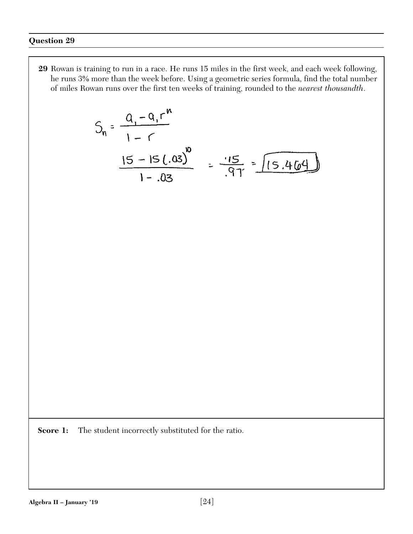**29** Rowan is training to run in a race. He runs 15 miles in the first week, and each week following, he runs 3% more than the week before. Using a geometric series formula, find the total number of miles Rowan runs over the first ten weeks of training, rounded to the *nearest thousandth*.

$$
S_n = \frac{Q_1 - Q_1 r^n}{1 - r}
$$
  

$$
\frac{15 - 15(.03)^{10}}{1 - .03} = \frac{15}{.91} = \sqrt{15.464}
$$

**Score 1:** The student incorrectly substituted for the ratio.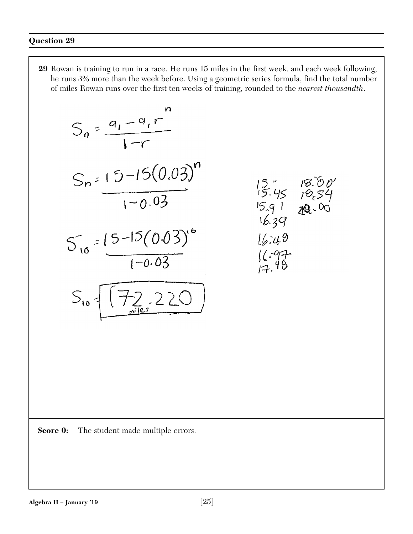**29** Rowan is training to run in a race. He runs 15 miles in the first week, and each week following, he runs 3% more than the week before. Using a geometric series formula, find the total number of miles Rowan runs over the first ten weeks of training, rounded to the *nearest thousandth*.

$$
S_{n} = \frac{a_{1} - a_{1}r^{2}}{1 - r}
$$
  
\n
$$
S_{n} = 15 - 15(0.03)^{n}
$$
  
\n
$$
1 - 0.03
$$
  
\n
$$
S_{10} = \frac{15 - 15(0.03)^{n}}{1 - 0.03}
$$
  
\n
$$
S_{10} = \frac{15 - 15(0.03)^{n}}{1 - 0.03}
$$
  
\n
$$
S_{10} = \frac{172.220}{172.220}
$$
  
\n
$$
S_{10} = \frac{172.220}{172.220}
$$

**Score 0:** The student made multiple errors.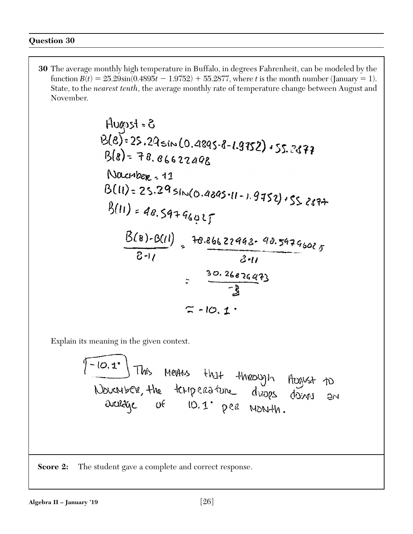**30** The average monthly high temperature in Buffalo, in degrees Fahrenheit, can be modeled by the function  $B(t) = 25.29\sin(0.4895t - 1.9752) + 55.2877$ , where *t* is the month number (January = 1). State, to the *nearest tenth*, the average monthly rate of temperature change between August and November.

Hugps1 = 8  
\n
$$
B(8) = 25.29 \sin(0.4895 \cdot 8 - 1.9752) + 55.2877
$$
  
\n $B(8) = 78.86622498$   
\nNacubear = 11  
\n $B(11) = 25.29 \sin(0.4895 \cdot 11 - 1.9752) + 55.2877$   
\n $B(11) = 48.59 + 96.025$   
\n $B(8) - B(11) = 10.86622998 - 98.59796025$   
\n $B(11) = 25.29 \sin(0.4895 \cdot 11 - 1.9752) + 55.2877$   
\n $B(11) = 48.59 + 96.025$   
\n $B(12) = 10.25826993$ 

Explain its meaning in the given context.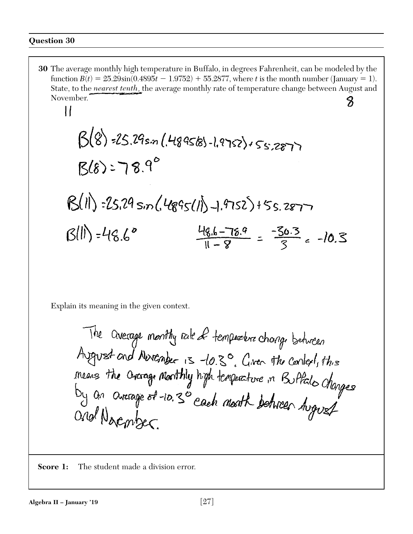$\prod$ 

**30** The average monthly high temperature in Buffalo, in degrees Fahrenheit, can be modeled by the function  $B(t) = 25.29\sin(0.4895t - 1.9752) + 55.2877$ , where *t* is the month number (January = 1). State, to the *nearest tenth*, the average monthly rate of temperature change between August and November. 8

$$
\beta(8) = 25.29s \cdot n (48958) - 19752 \cdot 55.287
$$
  
\n $\beta(8) = 78.9^\circ$   
\n $\beta(1) = 25.29s \cdot n (4895(1)) - 1.9752 \cdot 55.287$   
\n $\beta(1) = 48.6^\circ$   
\n $\frac{48.6 - 78.9}{11 - 8} = \frac{-50.3}{3} = -10.3$ 

Explain its meaning in the given context.

The Overage monthy rale of temperature change between<br>Avenust and November 15 -10.30, Given the context, this<br>means the Overage monthly high temperature in Buffalo changes<br>by an Overage of -10.30 each month between August

**Score 1:** The student made a division error.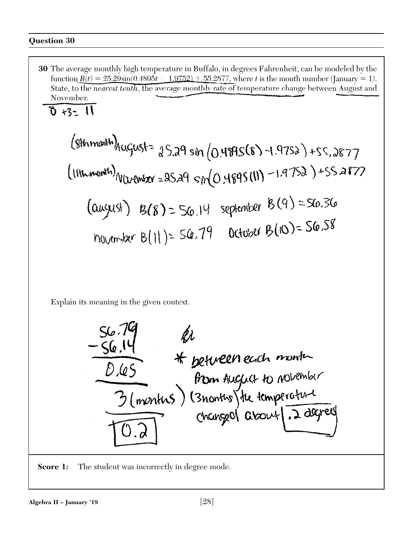**30** The average monthly high temperature in Buffalo, in degrees Fahrenheit, can be modeled by the function  $B(t) = 25.29\sin(0.4895t - 1.9752) + 55.2877$ , where *t* is the month number (January = 1). State, to the *nearest tenth*, the average monthly rate of temperature change between August and November.

$$
\delta
$$
  $\kappa$ 

$$
(8hmm^{th})_{\text{AugLSS}^+} \cdot 25.29 \sin (0.48956) - 1.9752) + 55.2877
$$
\n
$$
(11hmm^{th})_{\text{ValueMSE} \approx 25.29 \sin(0.4895(11)) - 1.9752} + 55.2877
$$
\n
$$
(0.4995(11) - 1.9752) + 55.2877
$$
\n
$$
(0.4995(11) - 1.9752) = 56.36
$$
\n
$$
(0.4995(11) - 1.9752) = 56.36
$$
\n
$$
0.4995(11) = 56.36
$$
\n
$$
0.4995(11) = 56.38
$$

Explain its meaning in the given context.

$$
\frac{56.79}{\frac{66.14}{0.45}} = \frac{61}{\frac{61.45}{\frac{61.45}{\frac{61.45}{\frac{61.45}{\frac{61.45}{\frac{61.45}{\frac{61.45}{\frac{61.45}{\frac{61.45}{\frac{61.45}{\frac{61.45}{\frac{61.45}{\frac{61.45}{\frac{61.45}{\frac{61.45}{\frac{61.45}{\frac{61.45}{\frac{61.45}{\frac{61.45}{\frac{61.45}{\frac{61.45}{\frac{61.45}{\frac{61.45}{\frac{61.45}{\frac{61.45}{\frac{61.45}{\frac{61.45}{\frac{61.45}{\frac{61.45}{\frac{61.45}{\frac{61.45}{\frac{61.45}{\frac{61.45}{\frac{61.45}{\frac{61.45}{\frac{61.45}{\frac{61.45}{\frac{61.45}{\frac{61.45}{\frac{61.45}{\frac{61.45}{\frac{61.45}{\frac{61.45}{\frac{61.45}{\frac{61.45}{\frac{61.45}{\frac{61.45}{\frac{61.45}{\frac{61.45}{\frac{61.45}{\frac{61.45}{\frac{61.45}{\frac{61.45}{\frac{61.45}{\frac{61.45}{\frac{61.45}{\frac{61.45}{\frac{61.45}{\frac{61.45}{\frac{61.45}{\frac{61.45}{\frac{61.45}{\frac{61.45}{\frac{61.45}{\frac{61.45}{\frac{61.45}{\frac{61.45}{\frac{61.45}{\frac{61.45}{\frac{61.45}{\frac{61.45}{\frac{61.45}{\frac{61.45}{\frac{61.45}{\frac{61.45}{\frac{61.45}{\frac{61.45}{\frac{61.45}{\frac{61.45}{\frac{61.45}{\frac{61.45}{\
$$

**Score 1:** The student was incorrectly in degree mode.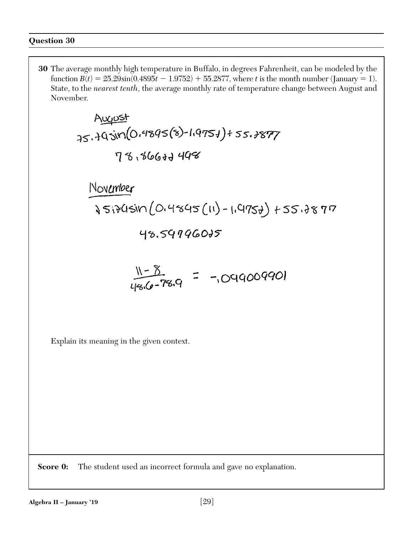**30** The average monthly high temperature in Buffalo, in degrees Fahrenheit, can be modeled by the function  $B(t) = 25.29\sin(0.4895t - 1.9752) + 55.2877$ , where *t* is the month number (January = 1). State, to the *nearest tenth*, the average monthly rate of temperature change between August and November.

Explain its meaning in the given context.

**Score 0:** The student used an incorrect formula and gave no explanation.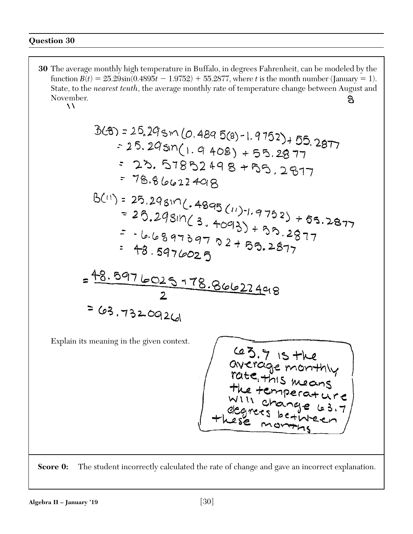**30** The average monthly high temperature in Buffalo, in degrees Fahrenheit, can be modeled by the function  $B(t) = 25.29\sin(0.4895t - 1.9752) + 55.2877$ , where *t* is the month number (January = 1). State, to the *nearest tenth*, the average monthly rate of temperature change between August and November.<br>A  $8\phantom{1}$ 

$$
3(8) = 25.29 \sin (0.4895(8) - 1.9752) + 55.2877
$$
  
\n
$$
= 25.29 \sin (1.9408) + 55.2877
$$
  
\n
$$
= 23.57852498 + 55.2877
$$
  
\n
$$
= 78.86622498
$$
  
\n
$$
6(11) = 25.29 \sin (0.4895(11) - 1.9752) + 65.2877
$$
  
\n
$$
= 25.29 \sin (3.4095)(11) - 1.9752) + 65.2877
$$
  
\n
$$
= 16.68976025
$$
  
\n
$$
= 16.68976025
$$
  
\n
$$
= 48.5976025
$$
  
\n
$$
= 63.73209261
$$
  
\nExplain its meaning in the given context.  
\n
$$
= 63.71 \sin 100 = 64.7 \sin 100 = 64.7 \sin 100 = 64.7 \sin 100 = 64.7 \sin 100 = 64.7 \sin 100 = 64.7 \sin 100 = 64.7 \sin 100 = 64.7 \sin 100 = 64.7 \sin 100 = 64.7 \sin 100 = 64.7 \sin 100 = 64.7 \sin 100 = 64.7 \sin 100 = 64.7 \sin 100 = 64.7 \sin 100 = 64.7 \sin 100 = 64.7 \sin 100 = 64.7 \sin 100 = 64.7 \sin 100 = 64.7 \sin 100 = 64.7 \sin 100 = 64.7 \sin 100 = 64.7 \sin 100 = 64.7 \sin 100 = 64.7 \sin 100 = 64.7 \sin 100 = 64.7 \sin 100 = 64.7 \sin 100 = 64.7 \sin 100 = 64.7 \sin 100 = 64.7 \sin 100 = 64.7 \sin
$$

**Score 0:** The student incorrectly calculated the rate of change and gave an incorrect explanation.

empera

براح

ح ۲

 $3.7$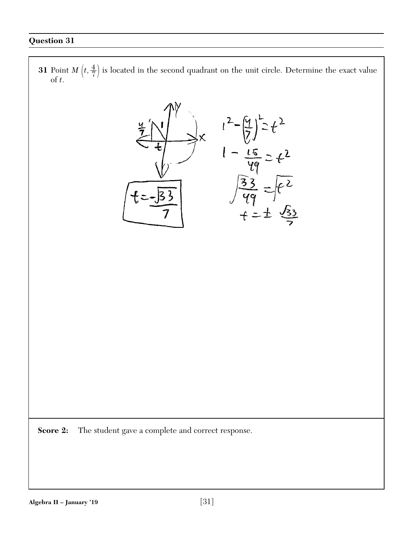**31** Point *M*  $\left(t, \frac{4}{7}\right)$  is located in the second quadrant on the unit circle. Determine the exact value of *t*.

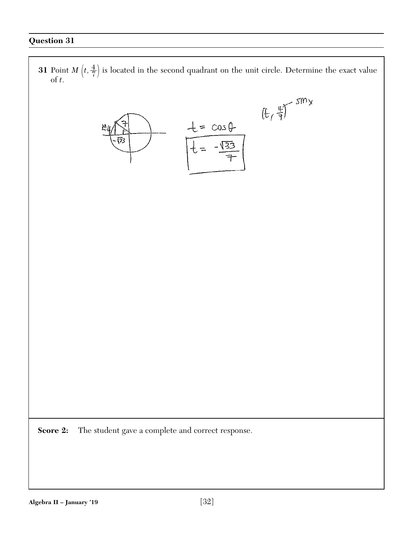**31** Point *M*  $\left(t, \frac{4}{7}\right)$  is located in the second quadrant on the unit circle. Determine the exact value of *t*.  $(f, \frac{\pi}{7})$  siny  $+ = \cos \theta$ 173  $\sqrt{32}$ **Score 2:** The student gave a complete and correct response.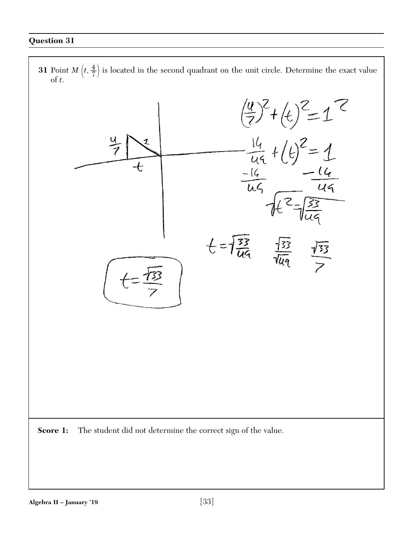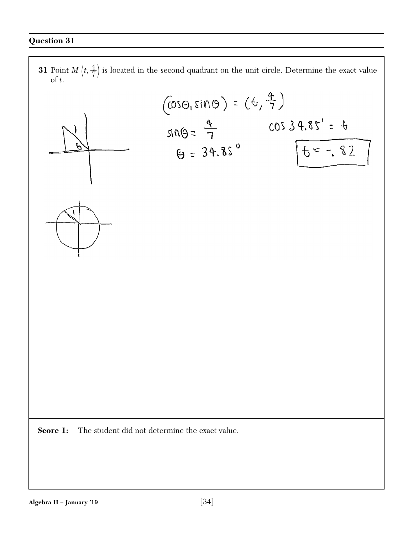**31** Point *M*  $\left(t, \frac{4}{7}\right)$  is located in the second quadrant on the unit circle. Determine the exact value of *t*.

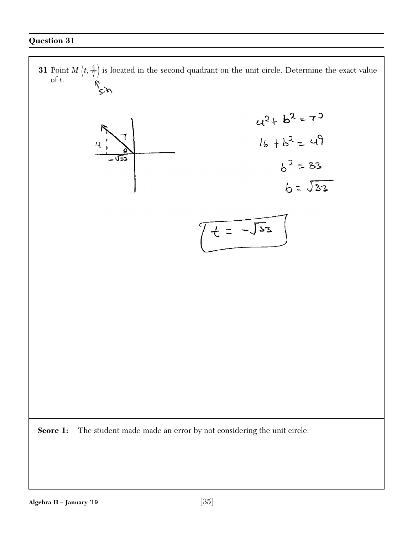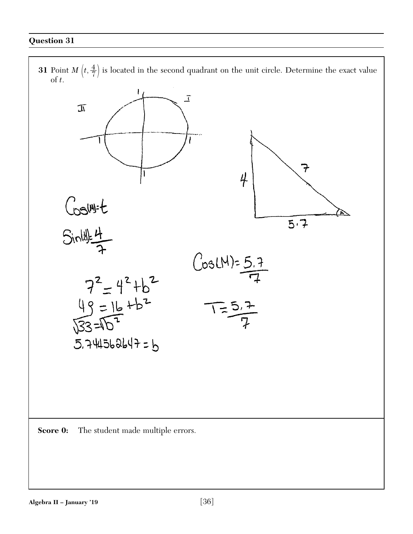**31** Point *M*  $\left(t, \frac{4}{7}\right)$  is located in the second quadrant on the unit circle. Determine the exact value of *t*.



**Score 0:** The student made multiple errors.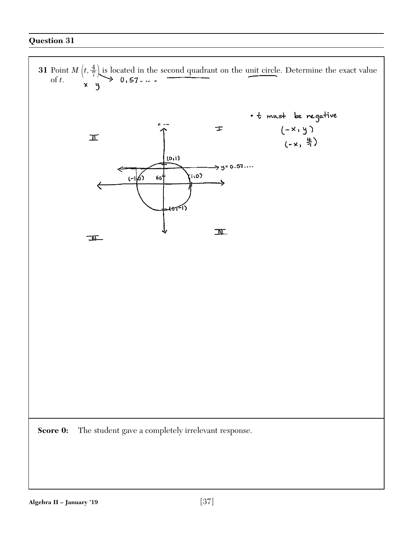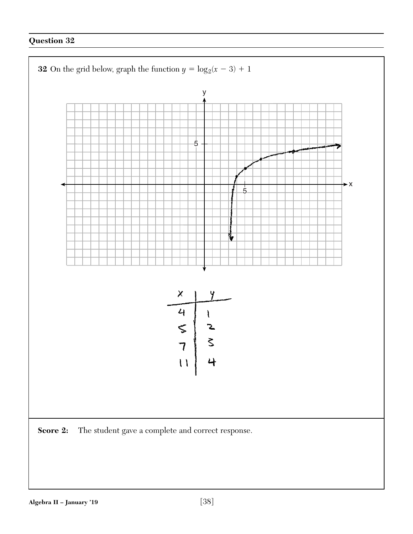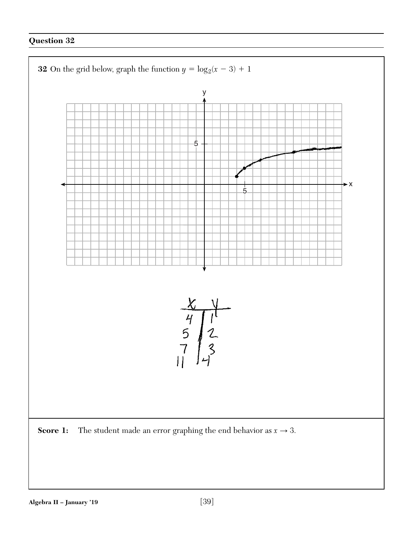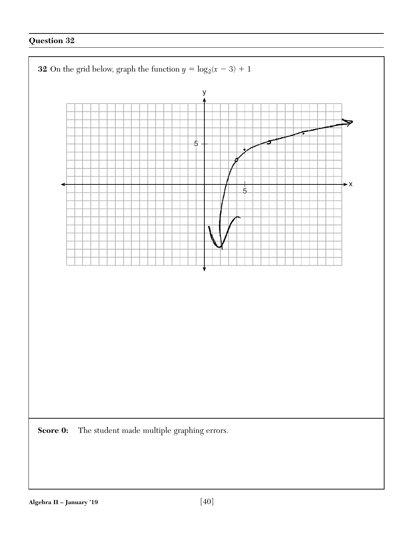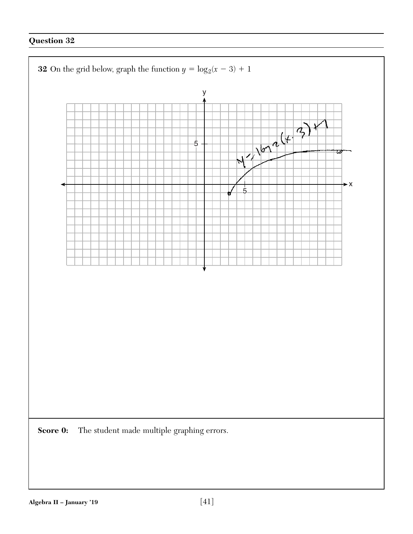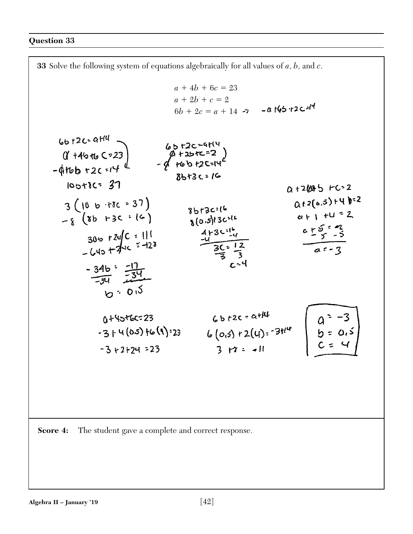

**Score 4:** The student gave a complete and correct response.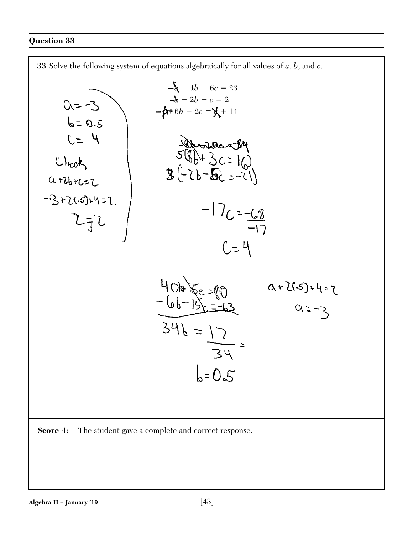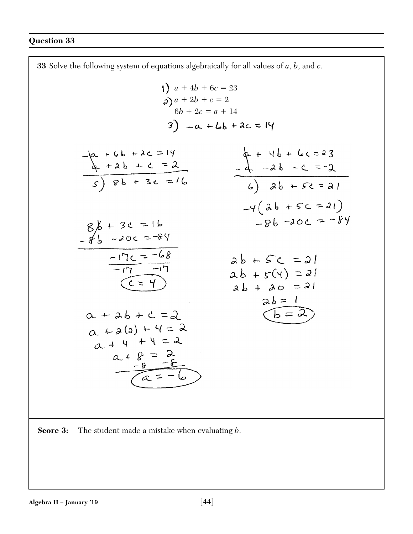**33** Solve the following system of equations algebraically for all values of *a*, *b*, and *c*.  $a + 4b + 6c = 23$  $a + 2b + c = 2$  $6b + 2c = a + 14$  $3) -a + b b + 2c = 14$  $-a + 4b + 4c = 14$ <br>  $-a + 2b + c = 2$ <br>  $c + 3c = 16$ <br>  $d + 4b + 6c = 23$ <br>  $d - 2b - c = -2$ <br>  $e - 3b - c = -2$ <br>  $e - 3b - c = -2$  $-4(a b + 5c = 21)$  $-86 - 20c = -84$  $86 + 36 = 16$ <br>-8b -20c = 84  $\frac{80 - 771 - 7}{71 - 71}$  $ab + 5c = 21$  $ab + f(y) = 21$  $\overline{(c=4)}$  $ab + ac = 21$  $\begin{array}{c} a b = 1 \\ \hline (b = 2) \end{array}$  $\alpha + 2b + c = 2$  $a + a(1) + 4 = 2$  $a + 4 + 4 = 2$  $a + 8 = 2$ <br> $-8 = -6$ 

**Score 3:** The student made a mistake when evaluating *b*.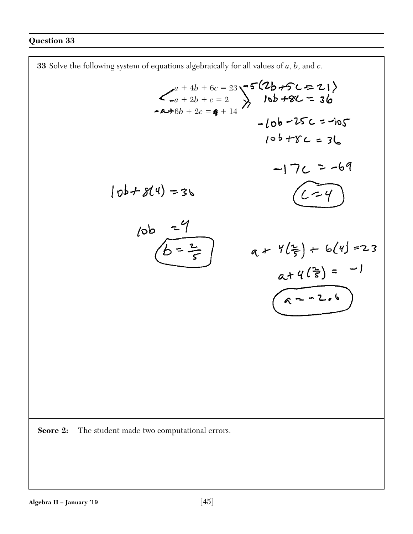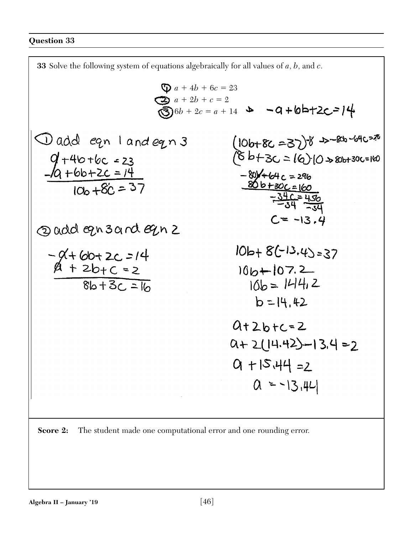

**Score 2:** The student made one computational error and one rounding error.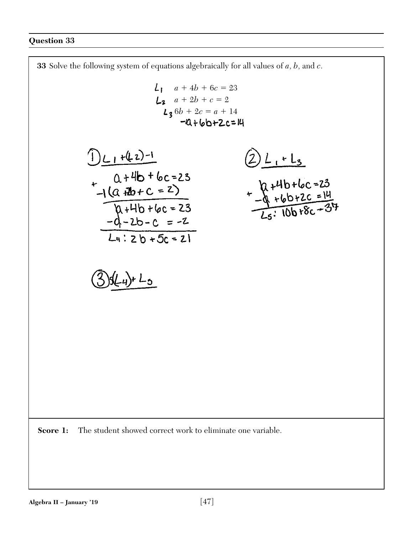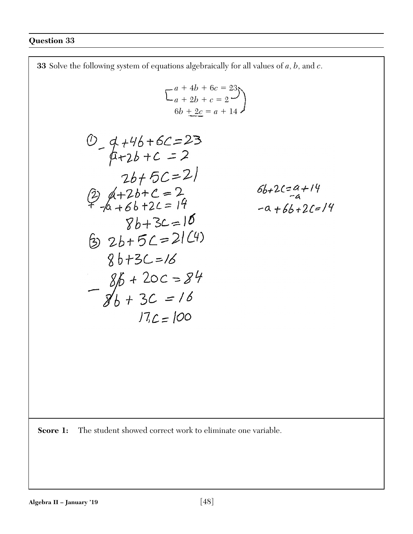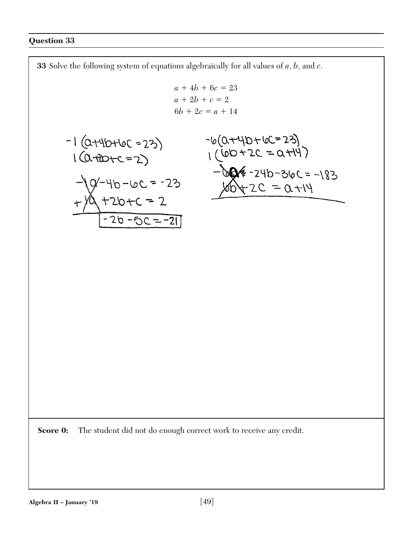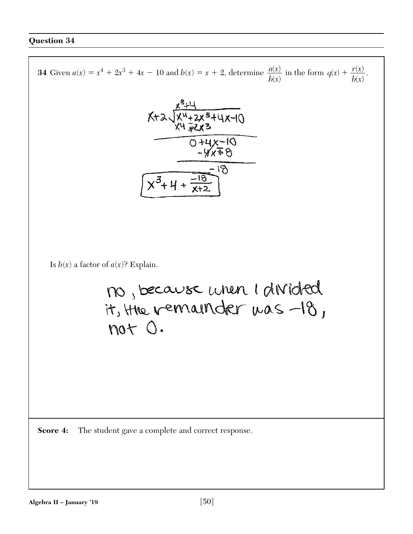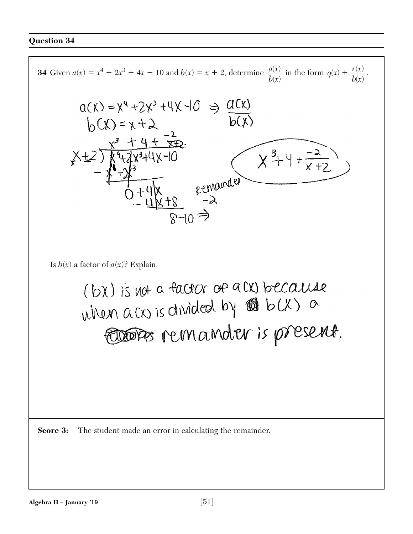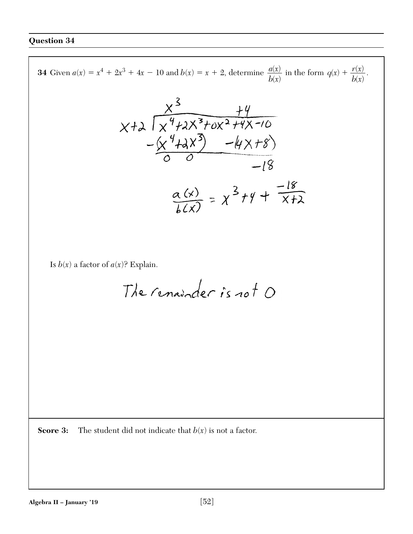**34** Given  $a(x) = x^4 + 2x^3 + 4x - 10$  and  $b(x) = x + 2$ , determine  $\frac{a(x)}{b(x)}$  in the form  $q(x) + \frac{r(x)}{b(x)}$ .  $\frac{a(x)}{b(x)}$  in the form  $q(x)$  +  $\left( x\right)$  $b(x)$  $\left( x\right)$  $x+3$ <br> $x+2$   $x^3+x^2+4$  $-\frac{\left(x^{4}+2x^{3}\right)-\left(4x+8\right)}{6}$  $\frac{\alpha(x)}{h(x)} = \chi^3 + \gamma + \frac{-18}{x+2}$ Is  $b(x)$  a factor of  $a(x)$ ? Explain. The renainder is not O

**Score 3:** The student did not indicate that  $b(x)$  is not a factor.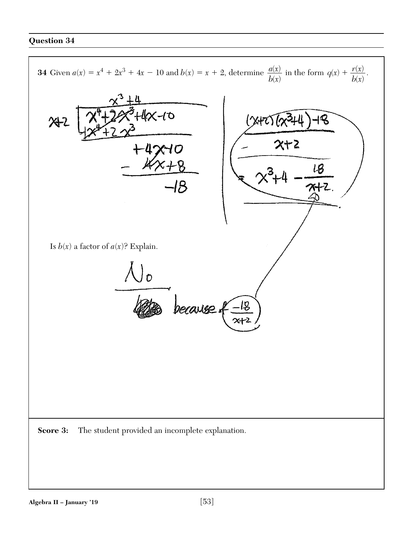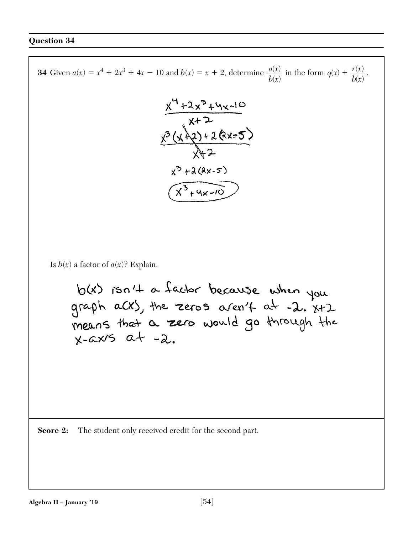**34** Given  $a(x) = x^4 + 2x^3 + 4x - 10$  and  $b(x) = x + 2$ , determine  $\frac{a(x)}{b(x)}$  in the form  $q(x) + \frac{r(x)}{b(x)}$ .  $\frac{a(x)}{b(x)}$  in the form  $q(x)$  +  $\left( x\right)$  $b(x)$  $\left( x\right)$  $x^4+2x^3+4x-10$ <br> $x+2$ <br> $x^3(x+2)+2(x-5)$ <br> $x+2$  $x^{3} + \lambda(2x-5)$  $\frac{1}{(x^3+yx-10)}$ Is  $b(x)$  a factor of  $a(x)$ ? Explain. b(x) isn't a factor because when you<br>graph aCX), the zeros aren't at -2. X+2<br>means that a zero would go through the  $x-cxis$   $a+ -2$ . **Score 2:** The student only received credit for the second part.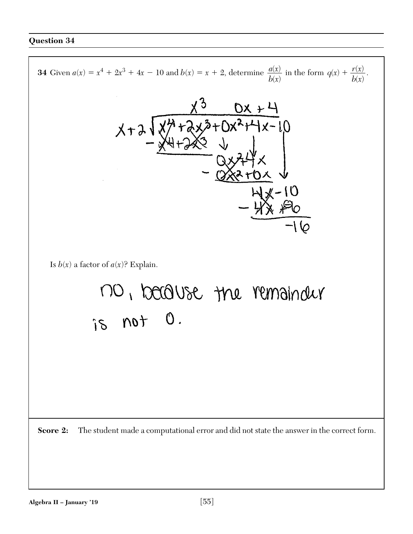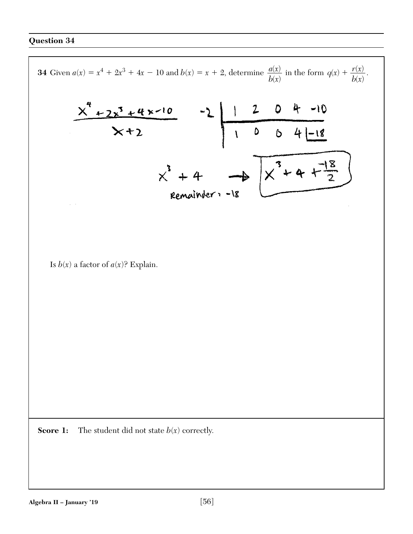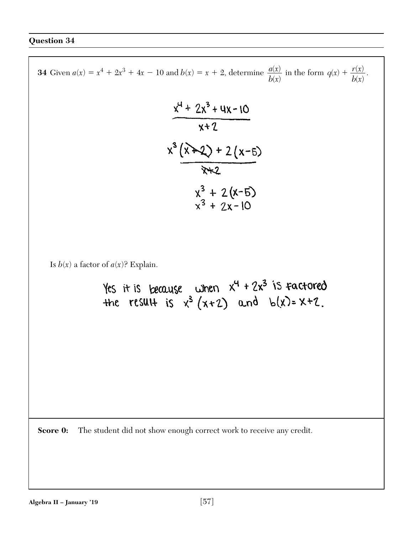**34** Given  $a(x) = x^4 + 2x^3 + 4x - 10$  and  $b(x) = x + 2$ , determine  $\frac{a(x)}{b(x)}$  in the form  $q(x) + \frac{r(x)}{b(x)}$ .  $\frac{a(x)}{b(x)}$  in the form  $q(x)$  +  $\left( x\right)$  $b(x)$  $\left( x\right)$  $\frac{x^4 + 2x^3 + 4x - 10}{x + 2}$  $x^3(x+2)(x-5)$ <br> $x+2$  $x^3 + 2(x-5)$ <br> $x^3 + 2x-10$ Is  $b(x)$  a factor of  $a(x)$ ? Explain. Yes it is because when  $x^4 + 2x^3$  is factored<br>the result is  $x^3 (x+2)$  and  $b(x)=x+2$ . **Score 0:** The student did not show enough correct work to receive any credit.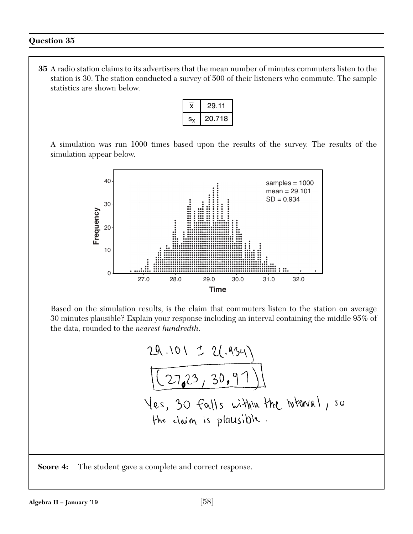**35** A radio station claims to its advertisers that the mean number of minutes commuters listen to the station is 30. The station conducted a survey of 500 of their listeners who commute. The sample statistics are shown below.

|     | 29.11  |
|-----|--------|
| S., | 20.718 |

A simulation was run 1000 times based upon the results of the survey. The results of the simulation appear below.



Based on the simulation results, is the claim that commuters listen to the station on average 30 minutes plausible? Explain your response including an interval containing the middle 95% of the data, rounded to the *nearest hundredth*.

$$
\frac{29.101 \pm 2(.934)}{([27.23, 30.97)]}
$$
  
Yes, 30 falls within the interval, so  
the claim is plausible.

**Score 4:** The student gave a complete and correct response.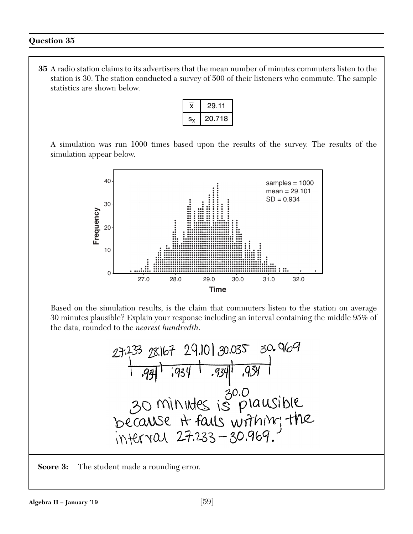**35** A radio station claims to its advertisers that the mean number of minutes commuters listen to the station is 30. The station conducted a survey of 500 of their listeners who commute. The sample statistics are shown below.

|             | 29.11  |
|-------------|--------|
| $S_{\cdot}$ | 20.718 |

A simulation was run 1000 times based upon the results of the survey. The results of the simulation appear below.



Based on the simulation results, is the claim that commuters listen to the station on average 30 minutes plausible? Explain your response including an interval containing the middle 95% of the data, rounded to the *nearest hundredth*.

**Score 3:** The student made a rounding error.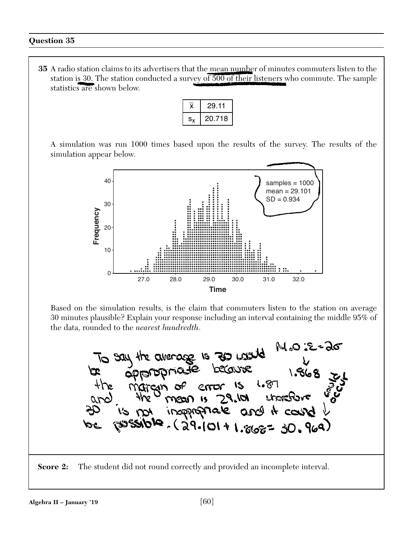**35** A radio station claims to its advertisers that the mean number of minutes commuters listen to the station is 30. The station conducted a survey of 500 of their listeners who commute. The sample statistics are shown below.

|    | 29.11  |
|----|--------|
| S. | 20.718 |

A simulation was run 1000 times based upon the results of the survey. The results of the simulation appear below.



Based on the simulation results, is the claim that commuters listen to the station on average 30 minutes plausible? Explain your response including an interval containing the middle 95% of the data, rounded to the *nearest hundredth*.

M°O :E=90 average is 20 comp **NO SAU** avous sions **COLOLOL**  $1.87$  $\mathcal{S}$ error  $19.101$  $\mathbf{1}$ and it count **inapprofitale**  $(29.101 + 1.868 = 30.969)$ 

**Score 2:** The student did not round correctly and provided an incomplete interval.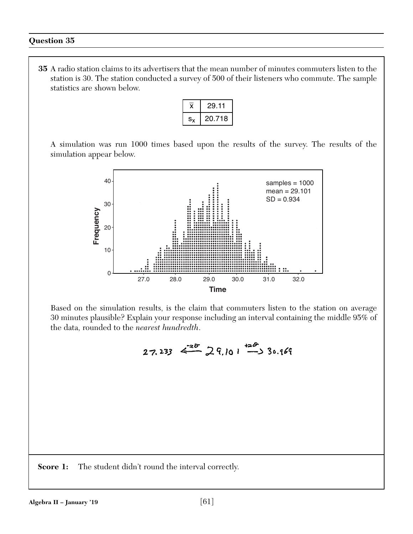**35** A radio station claims to its advertisers that the mean number of minutes commuters listen to the station is 30. The station conducted a survey of 500 of their listeners who commute. The sample statistics are shown below.

|     | 29.11  |
|-----|--------|
| S., | 20.718 |

A simulation was run 1000 times based upon the results of the survey. The results of the simulation appear below.



Based on the simulation results, is the claim that commuters listen to the station on average 30 minutes plausible? Explain your response including an interval containing the middle 95% of the data, rounded to the *nearest hundredth*.

 $27.233 \leftarrow 28$   $29.101 \leftarrow 30.169$ 

**Score 1:** The student didn't round the interval correctly.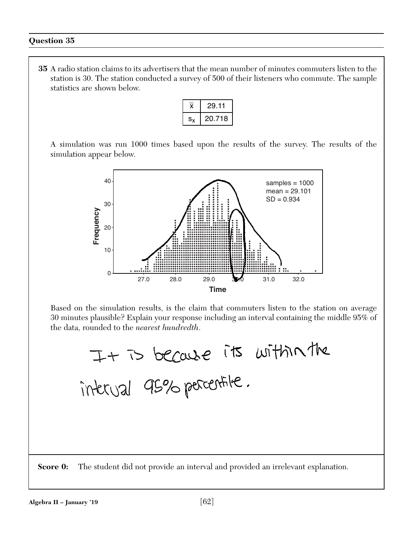**35** A radio station claims to its advertisers that the mean number of minutes commuters listen to the station is 30. The station conducted a survey of 500 of their listeners who commute. The sample statistics are shown below.

|     | 29.11  |
|-----|--------|
| S., | 20.718 |

A simulation was run 1000 times based upon the results of the survey. The results of the simulation appear below.



Based on the simulation results, is the claim that commuters listen to the station on average 30 minutes plausible? Explain your response including an interval containing the middle 95% of the data, rounded to the *nearest hundredth*.

It is because its within the<br>interval 95% parcentile.

**Score 0:** The student did not provide an interval and provided an irrelevant explanation.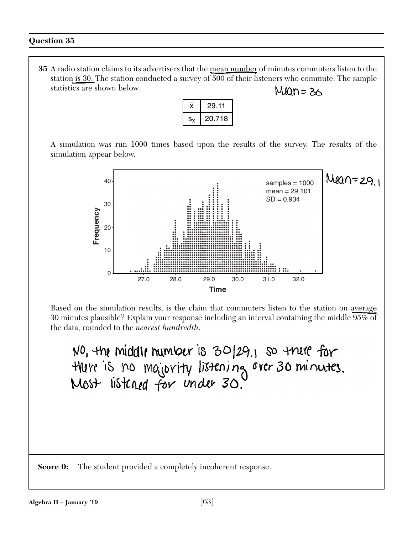**35** A radio station claims to its advertisers that the mean number of minutes commuters listen to the station is 30. The station conducted a survey of 500 of their listeners who commute. The sample statistics are shown below.  $Man = 36$ 

|     | 29.11  |
|-----|--------|
| s., | 20.718 |

A simulation was run 1000 times based upon the results of the survey. The results of the simulation appear below.



Based on the simulation results, is the claim that commuters listen to the station on average 30 minutes plausible? Explain your response including an interval containing the middle 95% of the data, rounded to the *nearest hundredth*.

NO, the middle number is 30/29.1 so there for there is no majority listening over 30 minutes.<br>Most listened for under 30.

**Score 0:** The student provided a completely incoherent response.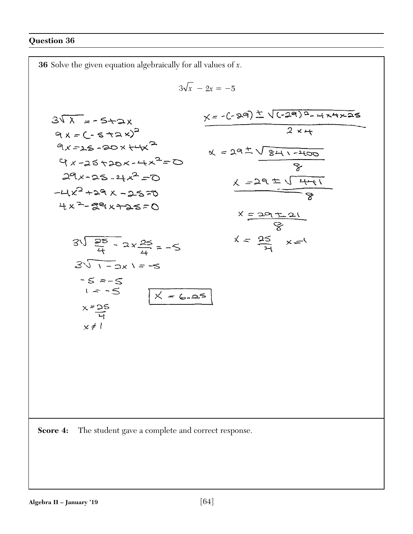**36** Solve the given equation algebraically for all values of *x*.  $3\sqrt{x} - 2x = -5$  $x = -(289) \pm \sqrt{(-29)^2 - 4x4x25}$  $3\sqrt{\lambda}$  = - 5+2x  $9x = (-5 + 2x)^2$  $9x = 25 - 20x + 4x^2$  $x = 292 \sqrt{841-2400}$  $9x - 25 + 20x - 4x^2 = 0$  $29x - 25 - 4x^2 = 0$  $x = 29 \pm \sqrt{441}$  $-4x^2 + 29x - 2570$  $4x^2-59x+25=0$  $x = 29 + 21$  $x = \frac{25}{21}$   $x = 1$  $3\sqrt{\frac{25}{4}}$  - 2x $\frac{25}{4}$  = -5  $3\sqrt{1-2x}$  = -5  $-5 = -5$  $1 - 5$  $X = 6.25$  $x = \frac{25}{4}$ <br> $x \ne 1$ **Score 4:** The student gave a complete and correct response.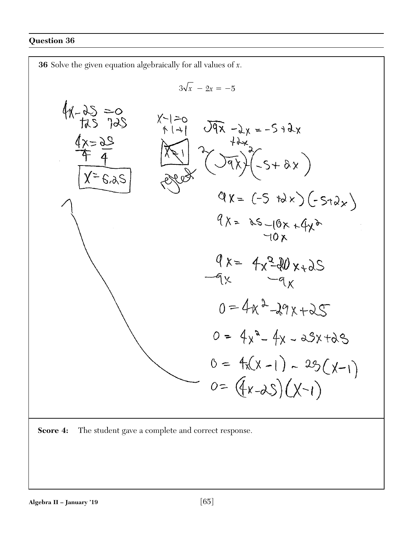

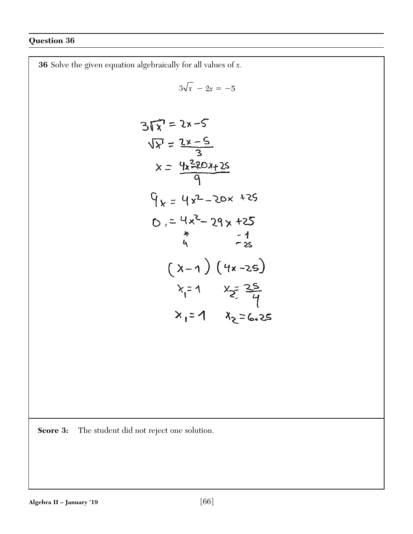**36** Solve the given equation algebraically for all values of *x*.  $3\sqrt{x} - 2x = -5$  $3\sqrt{x} = 2x-5$  $\sqrt{x} = \frac{2x-5}{3}$  $x = \frac{4x^{2}20x+25}{9}$  $9x = 4x^2 - 20x + 25$  $D = \frac{4x^2 - 29x + 25}{x^2 - 29x + 25}$  $(x-1)(4x-25)$  $x_1 = 1$   $x_2 = 25$ <br> $x_1 = 1$   $x_2 = 6.25$ 

**Score 3:** The student did not reject one solution.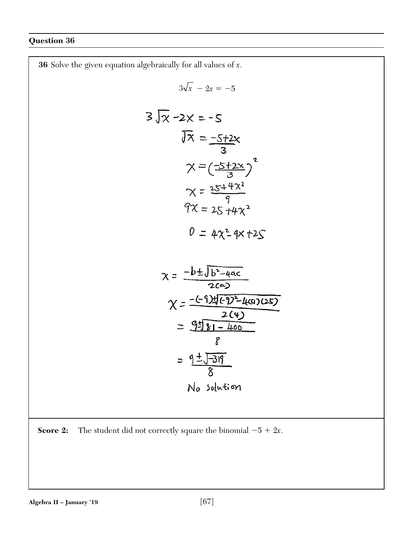**36** Solve the given equation algebraically for all values of *x*.  $3\sqrt{x} - 2x = -5$  $3\sqrt{x} - 2x = -5$  $\sqrt{x} = \frac{-5+2x}{3}$  $x = (\frac{-5 + 2x}{3})^2$  $x = \frac{25 + 4x^2}{9}$ <br> $9x = 25 + 4x^2$  $0 = 4x^{2} 4x + 25$  $\chi = \frac{-b \pm \sqrt{b^2 - 4ac}}{2ca}$  $\chi = \frac{-(-9) \pm (-9)^2 - \mu(\alpha)(25)}{2(4)}$ <br>=  $\frac{9 \pm 18 - \mu_{00}}{81 - \mu_{00}}$  $\mathcal{E}$  $=\frac{9\pm\sqrt{-319}}{8}$ No solution

**Score 2:** The student did not correctly square the binomial  $-5 + 2x$ .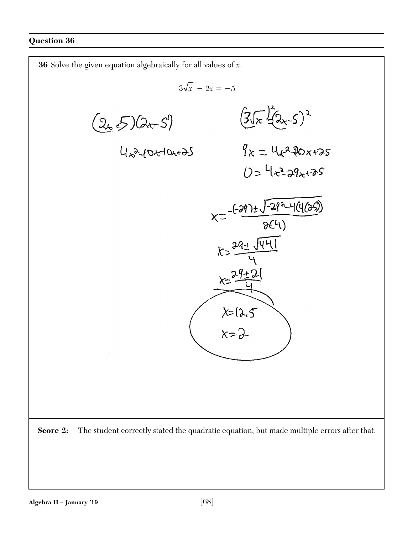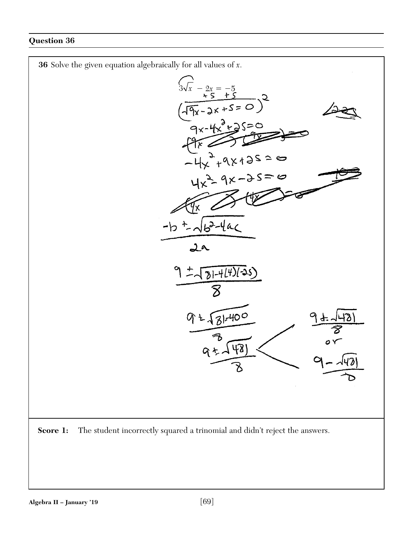

**Score 1:** The student incorrectly squared a trinomial and didn't reject the answers.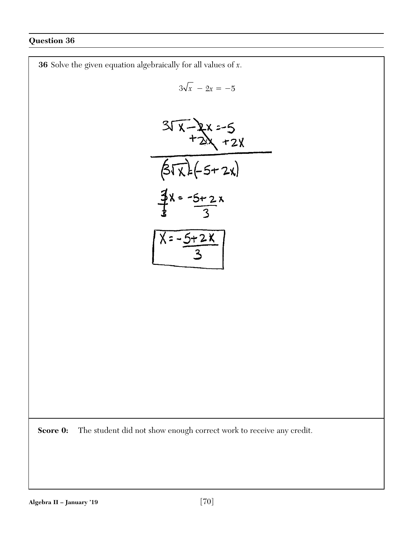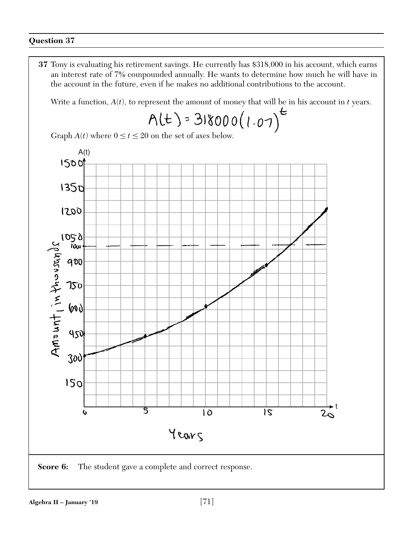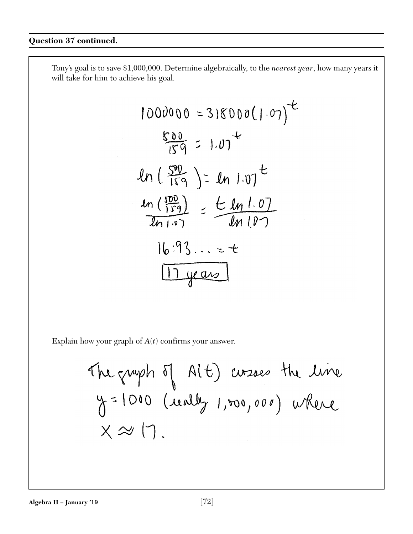Tony's goal is to save \$1,000,000. Determine algebraically, to the *nearest year*, how many years it will take for him to achieve his goal.

$$
1000000 = 318000(1.07)^{2}
$$
  
\n
$$
\frac{800}{159} = 1.07^{2}
$$
  
\n
$$
ln(\frac{590}{159}) = ln 1.07^{2}
$$
  
\n
$$
\frac{ln(\frac{590}{159})}{ln 1.07} = \frac{ln 1.07}{ln 1.07}
$$
  
\n
$$
ln(\frac{1.93}{1.07}) = 1
$$
  
\n
$$
\frac{ln 1.93}{ln 1.07} = 1
$$

Explain how your graph of *A*(*t*) confirms your answer.

The graph 
$$
\Pi
$$
 (16) *conzae* the *Line*  
 $\gamma = 1000$  (iually 1,000,000) where  
 $X \approx 17$ .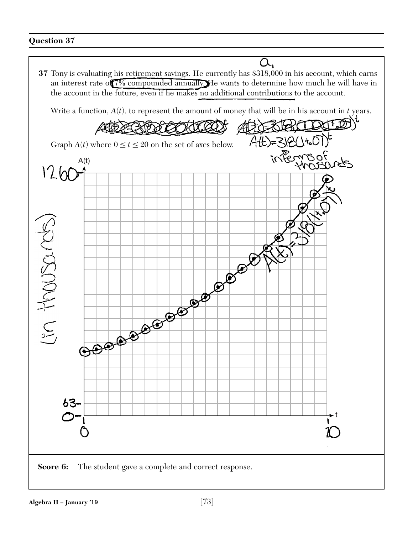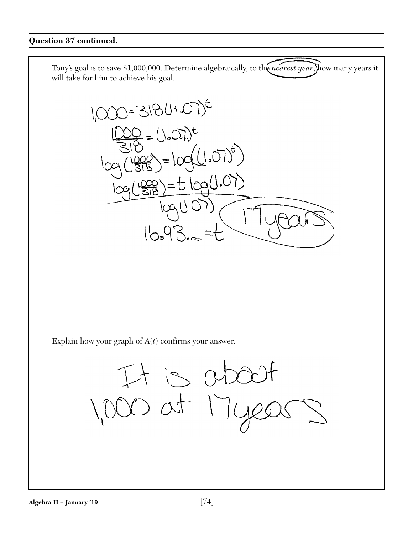



Explain how your graph of *A*(*t*) confirms your answer.

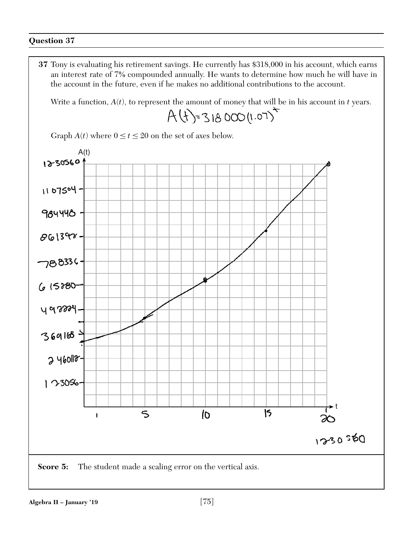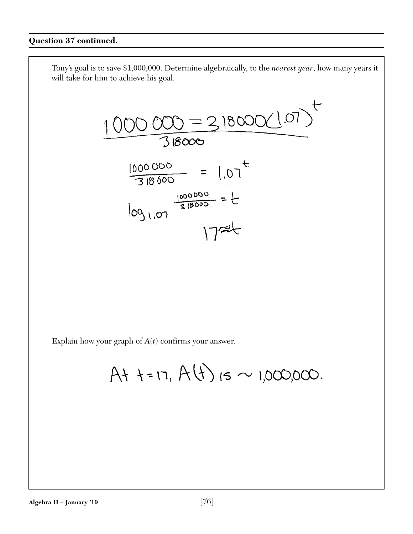$$
\frac{1000000=318000(107)}{318000}
$$

$$
1000000 = 1072
$$
  
= 1000000  
= 100000  
= 100000  
= 100000

Explain how your graph of  $A(t)$  confirms your answer.

 $At + = 17, A(t)$  is ~ 1,000,000.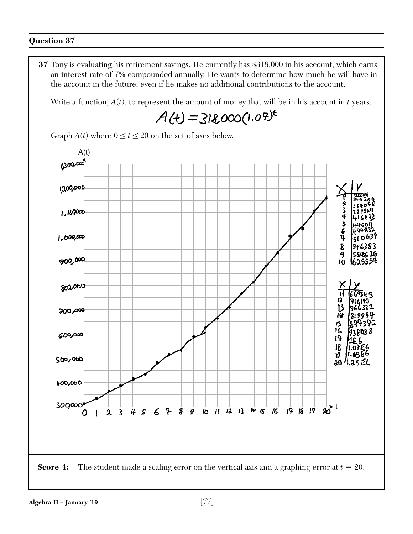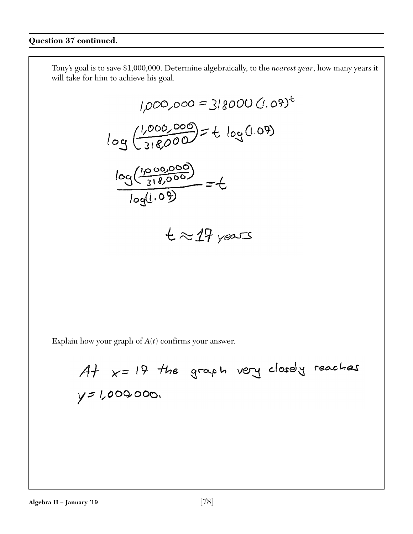$$
1,000,000 = 318000 (1.09)^{6}
$$
  

$$
log(\frac{1,000,000}{318,000}) = t log(1.09)
$$
  

$$
\frac{log(\frac{1,000,000}{318,000})}{log(1.09)} = t
$$

$$
t \approx 17 \text{ years}
$$

 $A+$   $x=19$  the graph very closely reaches  $y = 1,0000000$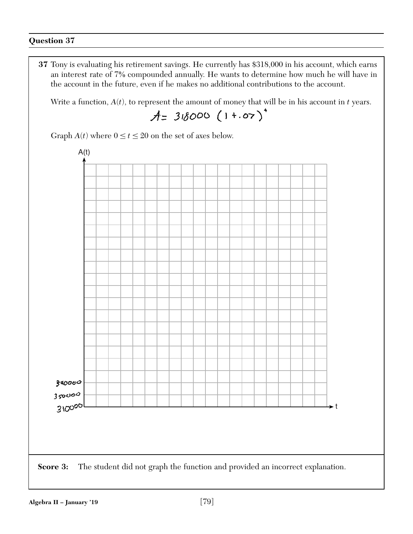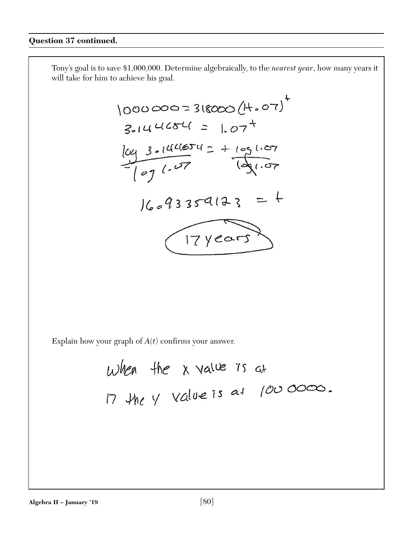$$
1000000=318000(14.07)^{4}
$$
  
\n3.144654 = 1.07<sup>4</sup>  
\n
$$
log 3.144654 = 1.07^{4}
$$
  
\n
$$
log 3.144654 = 1.07^{4}
$$
  
\n
$$
log 4335413 = 4
$$
  
\n
$$
log 9335413 = 4
$$

When the x value 75 at  
\n17 
$$
4h
$$
 y value 75 a1  $1000000$ .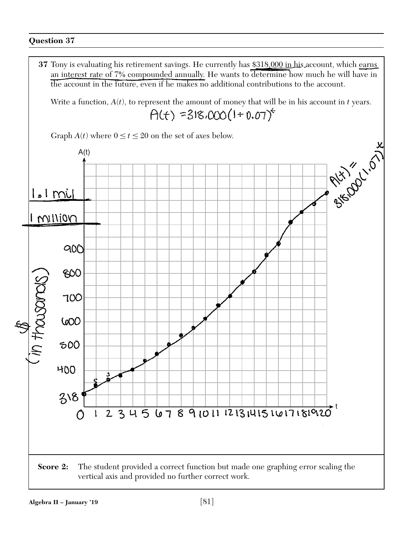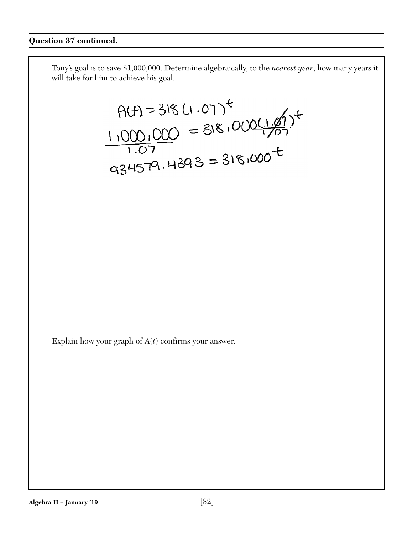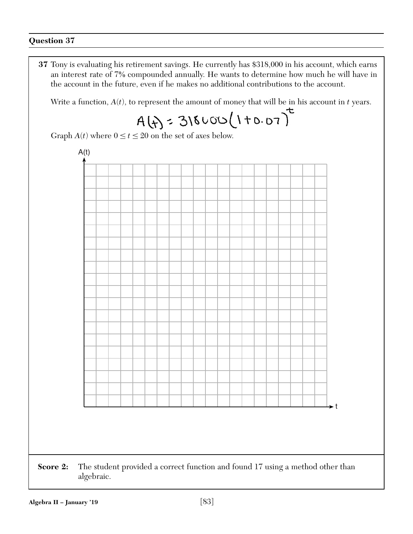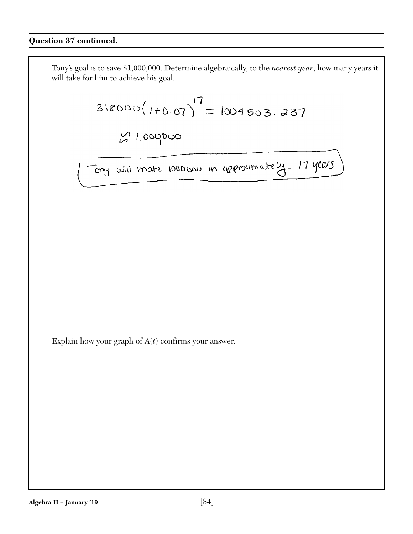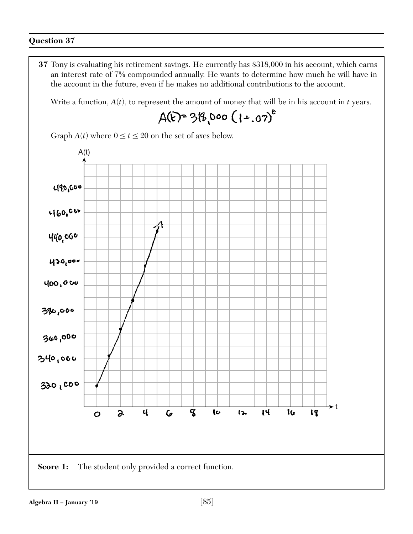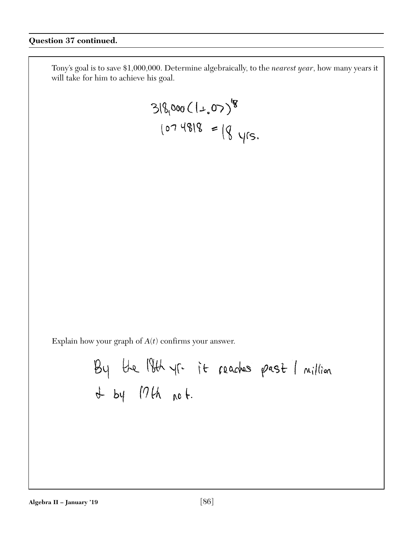$$
318,000(1+.07)^{9}
$$
  
318,000(1+.07)<sup>9</sup>